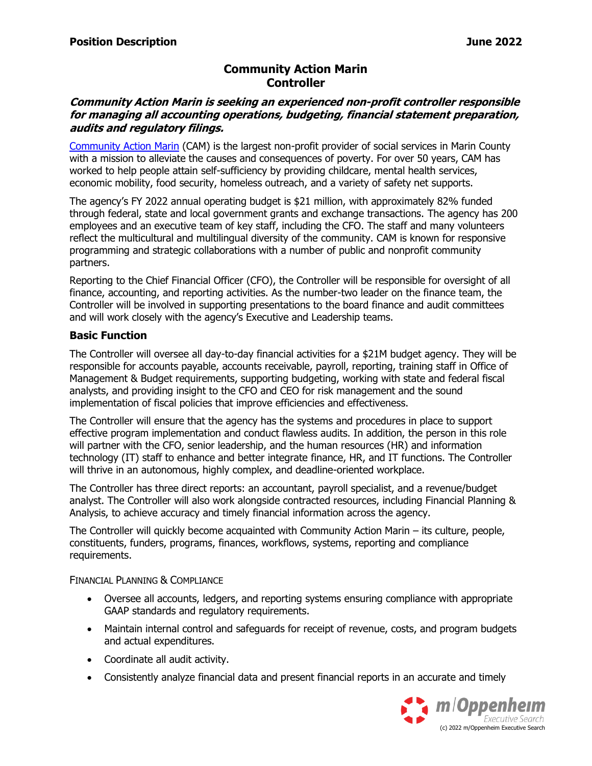# **Community Action Marin Controller**

### **Community Action Marin is seeking an experienced non-profit controller responsible for managing all accounting operations, budgeting, financial statement preparation, audits and regulatory filings.**

[Community Action Marin](https://camarin.org/video/) (CAM) is the largest non-profit provider of social services in Marin County with a mission to alleviate the causes and consequences of poverty. For over 50 years, CAM has worked to help people attain self-sufficiency by providing childcare, mental health services, economic mobility, food security, homeless outreach, and a variety of safety net supports.

The agency's FY 2022 annual operating budget is \$21 million, with approximately 82% funded through federal, state and local government grants and exchange transactions. The agency has 200 employees and an executive team of key staff, including the CFO. The staff and many volunteers reflect the multicultural and multilingual diversity of the community. CAM is known for responsive programming and strategic collaborations with a number of public and nonprofit community partners.

Reporting to the Chief Financial Officer (CFO), the Controller will be responsible for oversight of all finance, accounting, and reporting activities. As the number-two leader on the finance team, the Controller will be involved in supporting presentations to the board finance and audit committees and will work closely with the agency's Executive and Leadership teams.

### **Basic Function**

The Controller will oversee all day-to-day financial activities for a \$21M budget agency. They will be responsible for accounts payable, accounts receivable, payroll, reporting, training staff in Office of Management & Budget requirements, supporting budgeting, working with state and federal fiscal analysts, and providing insight to the CFO and CEO for risk management and the sound implementation of fiscal policies that improve efficiencies and effectiveness.

The Controller will ensure that the agency has the systems and procedures in place to support effective program implementation and conduct flawless audits. In addition, the person in this role will partner with the CFO, senior leadership, and the human resources (HR) and information technology (IT) staff to enhance and better integrate finance, HR, and IT functions. The Controller will thrive in an autonomous, highly complex, and deadline-oriented workplace.

The Controller has three direct reports: an accountant, payroll specialist, and a revenue/budget analyst. The Controller will also work alongside contracted resources, including Financial Planning & Analysis, to achieve accuracy and timely financial information across the agency.

The Controller will quickly become acquainted with Community Action Marin – its culture, people, constituents, funders, programs, finances, workflows, systems, reporting and compliance requirements.

FINANCIAL PLANNING & COMPLIANCE

- Oversee all accounts, ledgers, and reporting systems ensuring compliance with appropriate GAAP standards and regulatory requirements.
- Maintain internal control and safeguards for receipt of revenue, costs, and program budgets and actual expenditures.
- Coordinate all audit activity.
- Consistently analyze financial data and present financial reports in an accurate and timely

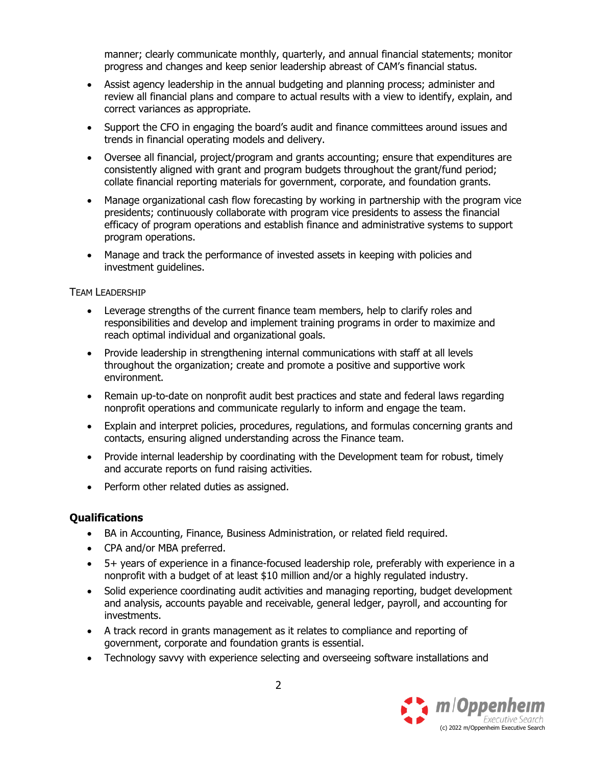manner; clearly communicate monthly, quarterly, and annual financial statements; monitor progress and changes and keep senior leadership abreast of CAM's financial status.

- Assist agency leadership in the annual budgeting and planning process; administer and review all financial plans and compare to actual results with a view to identify, explain, and correct variances as appropriate.
- Support the CFO in engaging the board's audit and finance committees around issues and trends in financial operating models and delivery.
- Oversee all financial, project/program and grants accounting; ensure that expenditures are consistently aligned with grant and program budgets throughout the grant/fund period; collate financial reporting materials for government, corporate, and foundation grants.
- Manage organizational cash flow forecasting by working in partnership with the program vice presidents; continuously collaborate with program vice presidents to assess the financial efficacy of program operations and establish finance and administrative systems to support program operations.
- Manage and track the performance of invested assets in keeping with policies and investment guidelines.

#### TEAM LEADERSHIP

- Leverage strengths of the current finance team members, help to clarify roles and responsibilities and develop and implement training programs in order to maximize and reach optimal individual and organizational goals.
- Provide leadership in strengthening internal communications with staff at all levels throughout the organization; create and promote a positive and supportive work environment.
- Remain up-to-date on nonprofit audit best practices and state and federal laws regarding nonprofit operations and communicate regularly to inform and engage the team.
- Explain and interpret policies, procedures, regulations, and formulas concerning grants and contacts, ensuring aligned understanding across the Finance team.
- Provide internal leadership by coordinating with the Development team for robust, timely and accurate reports on fund raising activities.
- Perform other related duties as assigned.

## **Qualifications**

- BA in Accounting, Finance, Business Administration, or related field required.
- CPA and/or MBA preferred.
- 5+ years of experience in a finance-focused leadership role, preferably with experience in a nonprofit with a budget of at least \$10 million and/or a highly regulated industry.
- Solid experience coordinating audit activities and managing reporting, budget development and analysis, accounts payable and receivable, general ledger, payroll, and accounting for investments.
- A track record in grants management as it relates to compliance and reporting of government, corporate and foundation grants is essential.
- Technology savvy with experience selecting and overseeing software installations and